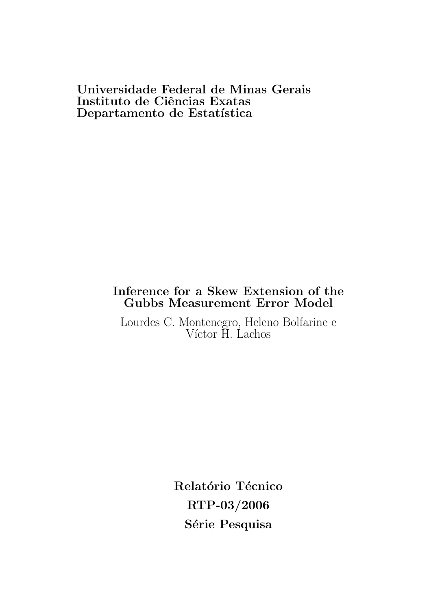# Universidade Federal de Minas Gerais Instituto de Ciências Exatas Departamento de Estatística

# Inference for a Skew Extension of the Gubbs Measurement Error Model

Lourdes C. Montenegro, Heleno Bolfarine e Víctor H. Lachos

> Relatório Técnico RTP-03/2006 Série Pesquisa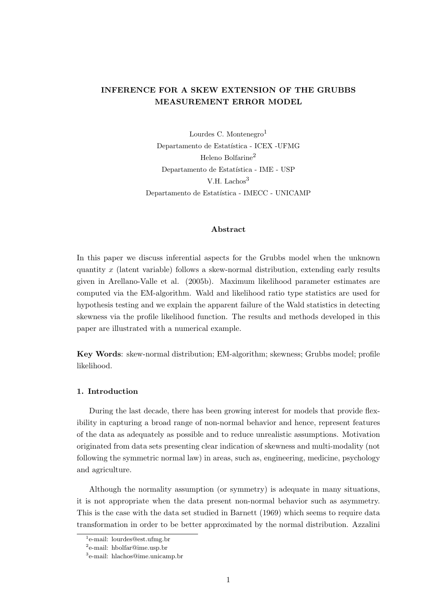# INFERENCE FOR A SKEW EXTENSION OF THE GRUBBS MEASUREMENT ERROR MODEL

Lourdes C. Montenegro<sup>1</sup> Departamento de Estatística - ICEX -UFMG Heleno Bolfarine<sup>2</sup> Departamento de Estatística - IME - USP V.H. Lachos<sup>3</sup> Departamento de Estatística - IMECC - UNICAMP

## Abstract

In this paper we discuss inferential aspects for the Grubbs model when the unknown quantity x (latent variable) follows a skew-normal distribution, extending early results given in Arellano-Valle et al. (2005b). Maximum likelihood parameter estimates are computed via the EM-algorithm. Wald and likelihood ratio type statistics are used for hypothesis testing and we explain the apparent failure of the Wald statistics in detecting skewness via the profile likelihood function. The results and methods developed in this paper are illustrated with a numerical example.

Key Words: skew-normal distribution; EM-algorithm; skewness; Grubbs model; profile likelihood.

### 1. Introduction

During the last decade, there has been growing interest for models that provide flexibility in capturing a broad range of non-normal behavior and hence, represent features of the data as adequately as possible and to reduce unrealistic assumptions. Motivation originated from data sets presenting clear indication of skewness and multi-modality (not following the symmetric normal law) in areas, such as, engineering, medicine, psychology and agriculture.

Although the normality assumption (or symmetry) is adequate in many situations, it is not appropriate when the data present non-normal behavior such as asymmetry. This is the case with the data set studied in Barnett (1969) which seems to require data transformation in order to be better approximated by the normal distribution. Azzalini

<sup>1</sup> e-mail: lourdes@est.ufmg.br

<sup>2</sup> e-mail: hbolfar@ime.usp.br

<sup>3</sup> e-mail: hlachos@ime.unicamp.br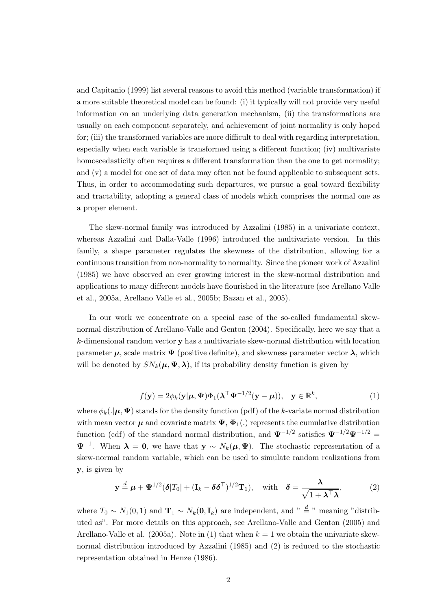and Capitanio (1999) list several reasons to avoid this method (variable transformation) if a more suitable theoretical model can be found: (i) it typically will not provide very useful information on an underlying data generation mechanism, (ii) the transformations are usually on each component separately, and achievement of joint normality is only hoped for; (iii) the transformed variables are more difficult to deal with regarding interpretation, especially when each variable is transformed using a different function; (iv) multivariate homoscedasticity often requires a different transformation than the one to get normality; and (v) a model for one set of data may often not be found applicable to subsequent sets. Thus, in order to accommodating such departures, we pursue a goal toward flexibility and tractability, adopting a general class of models which comprises the normal one as a proper element.

The skew-normal family was introduced by Azzalini (1985) in a univariate context, whereas Azzalini and Dalla-Valle (1996) introduced the multivariate version. In this family, a shape parameter regulates the skewness of the distribution, allowing for a continuous transition from non-normality to normality. Since the pioneer work of Azzalini (1985) we have observed an ever growing interest in the skew-normal distribution and applications to many different models have flourished in the literature (see Arellano Valle et al., 2005a, Arellano Valle et al., 2005b; Bazan et al., 2005).

In our work we concentrate on a special case of the so-called fundamental skewnormal distribution of Arellano-Valle and Genton (2004). Specifically, here we say that a k-dimensional random vector y has a multivariate skew-normal distribution with location parameter  $\mu$ , scale matrix  $\Psi$  (positive definite), and skewness parameter vector  $\lambda$ , which will be denoted by  $SN_k(\mu, \Psi, \lambda)$ , if its probability density function is given by

$$
f(\mathbf{y}) = 2\phi_k(\mathbf{y}|\boldsymbol{\mu}, \boldsymbol{\Psi})\Phi_1(\boldsymbol{\lambda}^\top\boldsymbol{\Psi}^{-1/2}(\mathbf{y} - \boldsymbol{\mu})), \quad \mathbf{y} \in \mathbb{R}^k,
$$
 (1)

where  $\phi_k(\cdot|\mu, \Psi)$  stands for the density function (pdf) of the k-variate normal distribution with mean vector  $\mu$  and covariate matrix  $\Psi$ ,  $\Phi_1(.)$  represents the cumulative distribution function (cdf) of the standard normal distribution, and  $\Psi^{-1/2}$  satisfies  $\Psi^{-1/2}\Psi^{-1/2} =$  $\Psi^{-1}$ . When  $\lambda = 0$ , we have that  $y \sim N_k(\mu, \Psi)$ . The stochastic representation of a skew-normal random variable, which can be used to simulate random realizations from y, is given by

$$
\mathbf{y} \stackrel{d}{=} \boldsymbol{\mu} + \boldsymbol{\Psi}^{1/2} (\boldsymbol{\delta} |T_0| + (\mathbf{I}_k - \boldsymbol{\delta} \boldsymbol{\delta}^\top)^{1/2} \mathbf{T}_1), \quad \text{with} \quad \boldsymbol{\delta} = \frac{\boldsymbol{\lambda}}{\sqrt{1 + \boldsymbol{\lambda}^\top \boldsymbol{\lambda}}},\tag{2}
$$

where  $T_0 \sim N_1(0, 1)$  and  $\mathbf{T}_1 \sim N_k(\mathbf{0}, \mathbf{I}_k)$  are independent, and "  $\stackrel{d}{=}$  " meaning "distributed as". For more details on this approach, see Arellano-Valle and Genton (2005) and Arellano-Valle et al. (2005a). Note in (1) that when  $k = 1$  we obtain the univariate skewnormal distribution introduced by Azzalini (1985) and (2) is reduced to the stochastic representation obtained in Henze (1986).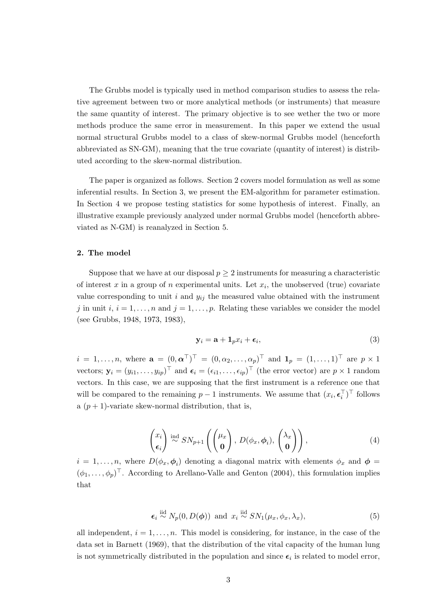The Grubbs model is typically used in method comparison studies to assess the relative agreement between two or more analytical methods (or instruments) that measure the same quantity of interest. The primary objective is to see wether the two or more methods produce the same error in measurement. In this paper we extend the usual normal structural Grubbs model to a class of skew-normal Grubbs model (henceforth abbreviated as SN-GM), meaning that the true covariate (quantity of interest) is distributed according to the skew-normal distribution.

The paper is organized as follows. Section 2 covers model formulation as well as some inferential results. In Section 3, we present the EM-algorithm for parameter estimation. In Section 4 we propose testing statistics for some hypothesis of interest. Finally, an illustrative example previously analyzed under normal Grubbs model (henceforth abbreviated as N-GM) is reanalyzed in Section 5.

#### 2. The model

Suppose that we have at our disposal  $p \geq 2$  instruments for measuring a characteristic of interest x in a group of n experimental units. Let  $x_i$ , the unobserved (true) covariate value corresponding to unit i and  $y_{ij}$  the measured value obtained with the instrument j in unit i,  $i = 1, \ldots, n$  and  $j = 1, \ldots, p$ . Relating these variables we consider the model (see Grubbs, 1948, 1973, 1983),

$$
\mathbf{y}_i = \mathbf{a} + \mathbf{1}_p x_i + \boldsymbol{\epsilon}_i,\tag{3}
$$

 $i = 1, \ldots, n$ , where  $\mathbf{a} = (0, \boldsymbol{\alpha}^{\top})^{\top} = (0, \alpha_2, \ldots, \alpha_p)^{\top}$  and  $\mathbf{1}_p = (1, \ldots, 1)^{\top}$  are  $p \times 1$ vectors;  $\mathbf{y}_i = (y_{i1}, \dots, y_{ip})^\top$  and  $\boldsymbol{\epsilon}_i = (\epsilon_{i1}, \dots, \epsilon_{ip})^\top$  (the error vector) are  $p \times 1$  random vectors. In this case, we are supposing that the first instrument is a reference one that will be compared to the remaining  $p-1$  instruments. We assume that  $(x_i, \epsilon_i^{\top})^{\top}$  follows a  $(p+1)$ -variate skew-normal distribution, that is,

$$
\begin{pmatrix} x_i \\ \epsilon_i \end{pmatrix} \stackrel{\text{ind}}{\sim} S N_{p+1} \left( \begin{pmatrix} \mu_x \\ \mathbf{0} \end{pmatrix}, D(\phi_x, \phi_i), \begin{pmatrix} \lambda_x \\ \mathbf{0} \end{pmatrix} \right), \tag{4}
$$

 $i = 1, \ldots, n$ , where  $D(\phi_x, \phi_i)$  denoting a diagonal matrix with elements  $\phi_x$  and  $\phi =$  $(\phi_1, \ldots, \phi_p)^\top$ . According to Arellano-Valle and Genton (2004), this formulation implies that

$$
\epsilon_i \stackrel{\text{iid}}{\sim} N_p(0, D(\phi)) \text{ and } x_i \stackrel{\text{iid}}{\sim} SN_1(\mu_x, \phi_x, \lambda_x), \tag{5}
$$

all independent,  $i = 1, \ldots, n$ . This model is considering, for instance, in the case of the data set in Barnett (1969), that the distribution of the vital capacity of the human lung is not symmetrically distributed in the population and since  $\epsilon_i$  is related to model error,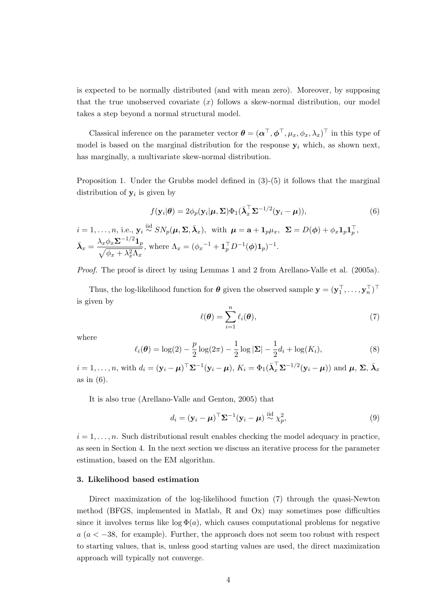is expected to be normally distributed (and with mean zero). Moreover, by supposing that the true unobserved covariate  $(x)$  follows a skew-normal distribution, our model takes a step beyond a normal structural model.

Classical inference on the parameter vector  $\boldsymbol{\theta} = (\boldsymbol{\alpha}^\top, \boldsymbol{\phi}^\top, \mu_x, \phi_x, \lambda_x)^\top$  in this type of model is based on the marginal distribution for the response  $y_i$  which, as shown next, has marginally, a multivariate skew-normal distribution.

Proposition 1. Under the Grubbs model defined in  $(3)-(5)$  it follows that the marginal distribution of  $y_i$  is given by

$$
f(\mathbf{y}_i|\boldsymbol{\theta}) = 2\phi_p(\mathbf{y}_i|\boldsymbol{\mu}, \boldsymbol{\Sigma})\Phi_1(\bar{\boldsymbol{\lambda}}_x^{\top}\boldsymbol{\Sigma}^{-1/2}(\mathbf{y}_i - \boldsymbol{\mu})),
$$
\n(6)

$$
i = 1, ..., n, \text{ i.e., } \mathbf{y}_i \stackrel{\text{iid}}{\sim} SN_p(\boldsymbol{\mu}, \boldsymbol{\Sigma}, \bar{\boldsymbol{\lambda}}_x), \text{ with } \boldsymbol{\mu} = \mathbf{a} + \mathbf{1}_p \mu_x, \ \boldsymbol{\Sigma} = D(\boldsymbol{\phi}) + \phi_x \mathbf{1}_p \mathbf{1}_p^{\top},
$$

$$
\bar{\boldsymbol{\lambda}}_x = \frac{\lambda_x \phi_x \boldsymbol{\Sigma}^{-1/2} \mathbf{1}_p}{\sqrt{\phi_x + \lambda_x^2 \Lambda_x}}, \text{ where } \Lambda_x = (\phi_x^{-1} + \mathbf{1}_p^{\top} D^{-1}(\boldsymbol{\phi}) \mathbf{1}_p)^{-1}.
$$

Proof. The proof is direct by using Lemmas 1 and 2 from Arellano-Valle et al. (2005a).

Thus, the log-likelihood function for  $\theta$  given the observed sample  $\mathbf{y} = (\mathbf{y}_1^\top, \dots, \mathbf{y}_n^\top)^\top$ is given by

$$
\ell(\boldsymbol{\theta}) = \sum_{i=1}^{n} \ell_i(\boldsymbol{\theta}),
$$
\n(7)

where

$$
\ell_i(\boldsymbol{\theta}) = \log(2) - \frac{p}{2}\log(2\pi) - \frac{1}{2}\log|\mathbf{\Sigma}| - \frac{1}{2}d_i + \log(K_i),\tag{8}
$$

 $i = 1, \ldots, n$ , with  $d_i = (\mathbf{y}_i - \boldsymbol{\mu})^\top \boldsymbol{\Sigma}^{-1} (\mathbf{y}_i - \boldsymbol{\mu}), K_i = \Phi_1(\bar{\boldsymbol{\lambda}}_x^{\top} \boldsymbol{\Sigma}^{-1/2} (\mathbf{y}_i - \boldsymbol{\mu}))$  and  $\boldsymbol{\mu}, \boldsymbol{\Sigma}, \bar{\boldsymbol{\lambda}}_x$ as in (6).

It is also true (Arellano-Valle and Genton, 2005) that

$$
d_i = (\mathbf{y}_i - \boldsymbol{\mu})^\top \boldsymbol{\Sigma}^{-1} (\mathbf{y}_i - \boldsymbol{\mu}) \stackrel{\text{iid}}{\sim} \chi_p^2,
$$
\n(9)

 $i = 1, \ldots, n$ . Such distributional result enables checking the model adequacy in practice, as seen in Section 4. In the next section we discuss an iterative process for the parameter estimation, based on the EM algorithm.

#### 3. Likelihood based estimation

Direct maximization of the log-likelihood function (7) through the quasi-Newton method (BFGS, implemented in Matlab, R and Ox) may sometimes pose difficulties since it involves terms like  $\log \Phi(a)$ , which causes computational problems for negative  $a (a < -38$ , for example). Further, the approach does not seem too robust with respect to starting values, that is, unless good starting values are used, the direct maximization approach will typically not converge.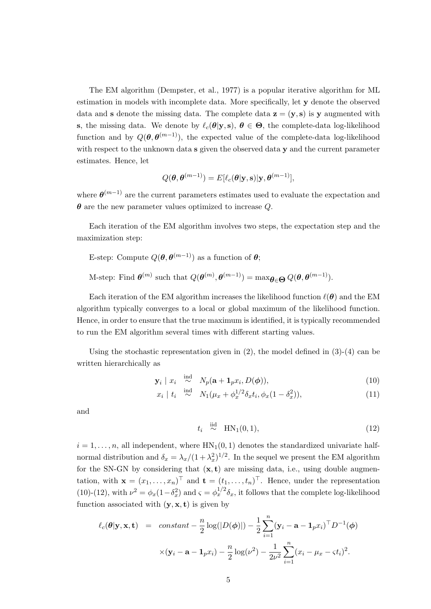The EM algorithm (Dempster, et al., 1977) is a popular iterative algorithm for ML estimation in models with incomplete data. More specifically, let y denote the observed data and s denote the missing data. The complete data  $z = (y, s)$  is y augmented with s, the missing data. We denote by  $\ell_c(\theta|\mathbf{y}, \mathbf{s}), \theta \in \Theta$ , the complete-data log-likelihood function and by  $Q(\theta, \theta^{(m-1)})$ , the expected value of the complete-data log-likelihood with respect to the unknown data s given the observed data y and the current parameter estimates. Hence, let

$$
Q(\boldsymbol{\theta}, \boldsymbol{\theta}^{(m-1)}) = E[\ell_c(\boldsymbol{\theta}|\mathbf{y}, \mathbf{s})|\mathbf{y}, \boldsymbol{\theta}^{(m-1)}],
$$

where  $\boldsymbol{\theta}^{(m-1)}$  are the current parameters estimates used to evaluate the expectation and  $\theta$  are the new parameter values optimized to increase Q.

Each iteration of the EM algorithm involves two steps, the expectation step and the maximization step:

E-step: Compute 
$$
Q(\theta, \theta^{(m-1)})
$$
 as a function of  $\theta$ ;

M-step: Find  $\theta^{(m)}$  such that  $Q(\theta^{(m)}, \theta^{(m-1)}) = \max_{\theta \in \Theta} Q(\theta, \theta^{(m-1)})$ .

Each iteration of the EM algorithm increases the likelihood function  $\ell(\theta)$  and the EM algorithm typically converges to a local or global maximum of the likelihood function. Hence, in order to ensure that the true maximum is identified, it is typically recommended to run the EM algorithm several times with different starting values.

Using the stochastic representation given in  $(2)$ , the model defined in  $(3)-(4)$  can be written hierarchically as

$$
\mathbf{y}_i \mid x_i \stackrel{\text{ind}}{\sim} N_p(\mathbf{a} + \mathbf{1}_p x_i, D(\boldsymbol{\phi})), \tag{10}
$$

$$
x_i \mid t_i \stackrel{\text{ind}}{\sim} N_1(\mu_x + \phi_x^{1/2} \delta_x t_i, \phi_x (1 - \delta_x^2)), \tag{11}
$$

and

$$
t_i \stackrel{\text{iid}}{\sim} \text{HN}_1(0, 1), \tag{12}
$$

 $i = 1, \ldots, n$ , all independent, where  $HN_1(0, 1)$  denotes the standardized univariate halfnormal distribution and  $\delta_x = \lambda_x/(1 + \lambda_x^2)^{1/2}$ . In the sequel we present the EM algorithm for the SN-GN by considering that  $(x, t)$  are missing data, i.e., using double augmentation, with  $\mathbf{x} = (x_1, \ldots, x_n)^\top$  and  $\mathbf{t} = (t_1, \ldots, t_n)^\top$ . Hence, under the representation (10)-(12), with  $\nu^2 = \phi_x(1-\delta_x^2)$  and  $\varsigma = \phi_x^{1/2}\delta_x$ , it follows that the complete log-likelihood function associated with  $(y, x, t)$  is given by

$$
\ell_c(\boldsymbol{\theta}|\mathbf{y}, \mathbf{x}, \mathbf{t}) = \text{constant} - \frac{n}{2} \log(|D(\boldsymbol{\phi})|) - \frac{1}{2} \sum_{i=1}^n (\mathbf{y}_i - \mathbf{a} - \mathbf{1}_p x_i)^\top D^{-1}(\boldsymbol{\phi})
$$

$$
\times (\mathbf{y}_i - \mathbf{a} - \mathbf{1}_p x_i) - \frac{n}{2} \log(\nu^2) - \frac{1}{2\nu^2} \sum_{i=1}^n (x_i - \mu_x - \varsigma t_i)^2.
$$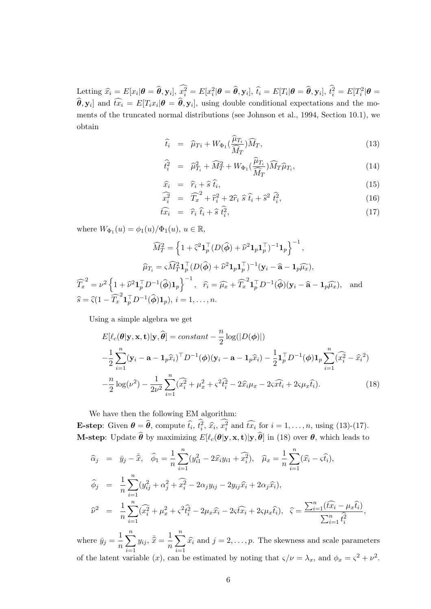$\text{Letting }\widehat{x_i}=E[x_i|\boldsymbol{\theta}=\widehat{\boldsymbol{\theta}}, \mathbf{y}_i],~\widehat{x_i^2}=E[x_i^2|\boldsymbol{\theta}=\widehat{\boldsymbol{\theta}}, \mathbf{y}_i],~\widehat{t_i}=E[T_i|\boldsymbol{\theta}=\widehat{\boldsymbol{\theta}}, \mathbf{y}_i],~\widehat{t_i^2}=E[T_i^2|\boldsymbol{\theta}=\widehat{\boldsymbol{\theta}}, \mathbf{y}_i]$  $\widehat{\theta}$ ,  $\mathbf{y}_i$  and  $\widehat{tx_i} = E[T_i x_i | \theta = \widehat{\theta}, \mathbf{y}_i]$ , using double conditional expectations and the moments of the truncated normal distributions (see Johnson et al., 1994, Section 10.1), we obtain

$$
\widehat{t}_i = \widehat{\mu}_{Ti} + W_{\Phi_1} \left( \frac{\widehat{\mu}_{T_i}}{\widehat{M}_T} \right) \widehat{M}_T, \tag{13}
$$

$$
\widehat{t}_i^2 = \widehat{\mu}_{T_i}^2 + \widehat{M}_T^2 + W_{\Phi_1} \left( \frac{\widehat{\mu}_{T_i}}{\widehat{M}_T} \right) \widehat{M}_T \widehat{\mu}_{T_i},\tag{14}
$$

$$
\widehat{x}_i = \widehat{r}_i + \widehat{s} \,\widehat{t}_i,\tag{15}
$$

$$
\widehat{x_i^2} = \widehat{T_x}^2 + \widehat{r}_i^2 + 2\widehat{r}_i \widehat{s} \widehat{t}_i + \widehat{s}^2 \widehat{t}_i^2, \tag{16}
$$

$$
\widehat{tx_i} = \widehat{r}_i \widehat{t}_i + \widehat{s} \widehat{t}_i^2, \tag{17}
$$

where  $W_{\Phi_1}(u) = \phi_1(u)/\Phi_1(u), u \in \mathbb{R}$ ,

$$
\widehat{M}_T^2 = \left\{ 1 + \widehat{\varsigma}^2 \mathbf{1}_p^\top (D(\widehat{\boldsymbol{\phi}}) + \widehat{\nu}^2 \mathbf{1}_p \mathbf{1}_p^\top)^{-1} \mathbf{1}_p \right\}^{-1},
$$

$$
\widehat{\mu}_{T_i} = \widehat{M}_T^2 \mathbf{1}_p^\top (D(\widehat{\boldsymbol{\phi}}) + \widehat{\nu}^2 \mathbf{1}_p \mathbf{1}_p^\top)^{-1} (\mathbf{y}_i - \widehat{\mathbf{a}} - \mathbf{1}_p \widehat{\mu}_x),
$$

$$
\widehat{T}_x^2 = \nu^2 \left\{ 1 + \widehat{\nu}^2 \mathbf{1}_p^\top D^{-1} (\widehat{\boldsymbol{\phi}}) \mathbf{1}_p \right\}^{-1}, \quad \widehat{r}_i = \widehat{\mu}_x + \widehat{T}_x^2 \mathbf{1}_p^\top D^{-1} (\widehat{\boldsymbol{\phi}}) (\mathbf{y}_i - \widehat{\mathbf{a}} - \mathbf{1}_p \widehat{\mu}_x), \text{ and }
$$

$$
\widehat{s} = \widehat{\varsigma} (1 - \widehat{T}_x^2 \mathbf{1}_p^\top D^{-1} (\widehat{\boldsymbol{\phi}}) \mathbf{1}_p), \ i = 1, \dots, n.
$$

Using a simple algebra we get

$$
E[\ell_c(\theta|\mathbf{y}, \mathbf{x}, \mathbf{t})|\mathbf{y}, \hat{\theta}] = constant -\frac{n}{2}\log(|D(\phi)|)
$$
  

$$
-\frac{1}{2}\sum_{i=1}^n (\mathbf{y}_i - \mathbf{a} - \mathbf{1}_p \hat{x}_i)^{\top} D^{-1}(\phi)(\mathbf{y}_i - \mathbf{a} - \mathbf{1}_p \hat{x}_i) - \frac{1}{2}\mathbf{1}_p^{\top} D^{-1}(\phi)\mathbf{1}_p \sum_{i=1}^n (\widehat{x}_i^2 - \widehat{x}_i^2)
$$
  

$$
-\frac{n}{2}\log(\nu^2) - \frac{1}{2\nu^2}\sum_{i=1}^n (\widehat{x}_i^2 + \mu_x^2 + \varsigma^2 \widehat{t}_i^2 - 2\widehat{x}_i\mu_x - 2\varsigma \widehat{x}\widehat{t}_i + 2\varsigma\mu_x \widehat{t}_i).
$$
 (18)

We have then the following EM algorithm:

**E-step:** Given  $\boldsymbol{\theta} = \widehat{\boldsymbol{\theta}}$ , compute  $\widehat{t}_i$ ,  $\widehat{t}_i^2$ ,  $\widehat{x}_i$ ,  $\widehat{x}_i^2$  and  $\widehat{tx}_i$  for  $i = 1, \ldots, n$ , using (13)-(17). **M-step**: Update  $\widehat{\boldsymbol{\theta}}$  by maximizing  $E[\ell_c(\boldsymbol{\theta}|\mathbf{y}, \mathbf{x}, \mathbf{t})|\mathbf{y}, \widehat{\boldsymbol{\theta}}]$  in (18) over  $\boldsymbol{\theta}$ , which leads to

$$
\begin{aligned}\n\widehat{\alpha}_{j} &= \bar{y}_{j} - \bar{\hat{x}}, \quad \widehat{\phi}_{1} = \frac{1}{n} \sum_{i=1}^{n} (y_{i1}^{2} - 2\hat{x}_{i}y_{i1} + \widehat{x}_{i}^{2}), \quad \widehat{\mu}_{x} = \frac{1}{n} \sum_{i=1}^{n} (\widehat{x}_{i} - \varsigma \widehat{t}_{i}), \\
\widehat{\phi}_{j} &= \frac{1}{n} \sum_{i=1}^{n} (y_{ij}^{2} + \alpha_{j}^{2} + \widehat{x}_{i}^{2} - 2\alpha_{j}y_{ij} - 2y_{ij}\widehat{x}_{i} + 2\alpha_{j}\widehat{x}_{i}), \\
\widehat{\nu}^{2} &= \frac{1}{n} \sum_{i=1}^{n} (\widehat{x}_{i}^{2} + \mu_{x}^{2} + \varsigma^{2}\widehat{t}_{i}^{2} - 2\mu_{x}\widehat{x}_{i} - 2\varsigma \widehat{t}\widehat{x}_{i} + 2\varsigma\mu_{x}\widehat{t}_{i}), \quad \widehat{\varsigma} = \frac{\sum_{i=1}^{n} (\widehat{t}\widehat{x}_{i} - \mu_{x}\widehat{t}_{i})}{\sum_{i=1}^{n} \widehat{t}_{i}^{2}},\n\end{aligned}
$$

where  $\bar{y}_j = \frac{1}{n}$ n  $\frac{n}{\sqrt{2}}$  $i=1$  $y_{ij}, \, \bar{\hat{x}} = \frac{1}{n}$ n  $\frac{n}{\sqrt{2}}$  $i=1$  $\widehat{x_i}$  and  $j = 2, \ldots, p$ . The skewness and scale parameters of the latent variable  $(x)$ , can be estimated by noting that  $\varsigma/\nu = \lambda_x$ , and  $\phi_x = \varsigma^2 + \nu^2$ .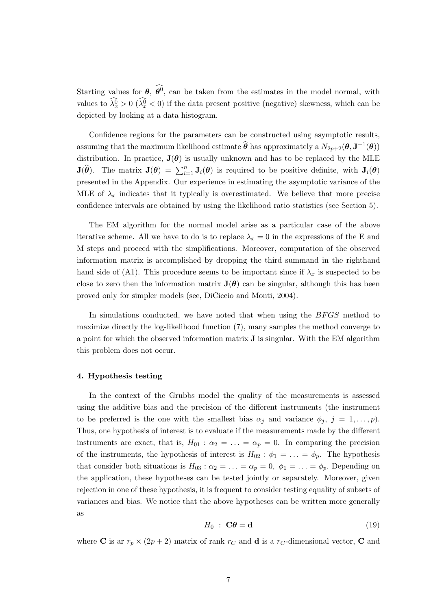Starting values for  $\theta$ ,  $\widehat{\theta}^0$ , can be taken from the estimates in the model normal, with values to  $\widehat{\lambda_x^0} > 0$   $(\widehat{\lambda_x^0} < 0)$  if the data present positive (negative) skewness, which can be depicted by looking at a data histogram.

Confidence regions for the parameters can be constructed using asymptotic results, assuming that the maximum likelihood estimate  $\widehat{\theta}$  has approximately a  $N_{2p+2}(\theta, \mathbf{J}^{-1}(\theta))$ distribution. In practice,  $J(\theta)$  is usually unknown and has to be replaced by the MLE  $J(\hat{\theta})$ . The matrix  $J(\theta) = \sum_{i=1}^{n} J_i(\theta)$  is required to be positive definite, with  $J_i(\theta)$ presented in the Appendix. Our experience in estimating the asymptotic variance of the MLE of  $\lambda_x$  indicates that it typically is overestimated. We believe that more precise confidence intervals are obtained by using the likelihood ratio statistics (see Section 5).

The EM algorithm for the normal model arise as a particular case of the above iterative scheme. All we have to do is to replace  $\lambda_x = 0$  in the expressions of the E and M steps and proceed with the simplifications. Moreover, computation of the observed information matrix is accomplished by dropping the third summand in the righthand hand side of (A1). This procedure seems to be important since if  $\lambda_x$  is suspected to be close to zero then the information matrix  $J(\theta)$  can be singular, although this has been proved only for simpler models (see, DiCiccio and Monti, 2004).

In simulations conducted, we have noted that when using the BFGS method to maximize directly the log-likelihood function (7), many samples the method converge to a point for which the observed information matrix J is singular. With the EM algorithm this problem does not occur.

### 4. Hypothesis testing

In the context of the Grubbs model the quality of the measurements is assessed using the additive bias and the precision of the different instruments (the instrument to be preferred is the one with the smallest bias  $\alpha_j$  and variance  $\phi_j$ ,  $j = 1, \ldots, p$ . Thus, one hypothesis of interest is to evaluate if the measurements made by the different instruments are exact, that is,  $H_{01}$ :  $\alpha_2 = \ldots = \alpha_p = 0$ . In comparing the precision of the instruments, the hypothesis of interest is  $H_{02}$ :  $\phi_1 = \ldots = \phi_p$ . The hypothesis that consider both situations is  $H_{03}$ :  $\alpha_2 = \ldots = \alpha_p = 0$ ,  $\phi_1 = \ldots = \phi_p$ . Depending on the application, these hypotheses can be tested jointly or separately. Moreover, given rejection in one of these hypothesis, it is frequent to consider testing equality of subsets of variances and bias. We notice that the above hypotheses can be written more generally as

$$
H_0 : \mathbf{C}\boldsymbol{\theta} = \mathbf{d} \tag{19}
$$

where **C** is ar  $r_p \times (2p + 2)$  matrix of rank  $r_c$  and **d** is a  $r_c$ -dimensional vector, **C** and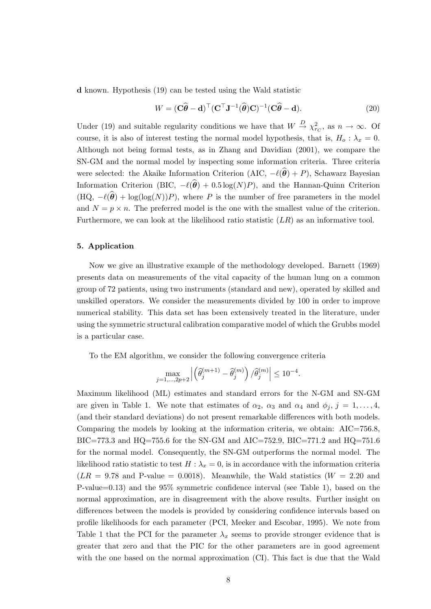d known. Hypothesis (19) can be tested using the Wald statistic

$$
W = (\mathbf{C}\widehat{\boldsymbol{\theta}} - \mathbf{d})^{\top} (\mathbf{C}^{\top} \mathbf{J}^{-1}(\widehat{\boldsymbol{\theta}})\mathbf{C})^{-1}(\mathbf{C}\widehat{\boldsymbol{\theta}} - \mathbf{d}).
$$
\n(20)

Under (19) and suitable regularity conditions we have that  $W \stackrel{D}{\rightarrow} \chi^2_{r_C}$ , as  $n \to \infty$ . Of course, it is also of interest testing the normal model hypothesis, that is,  $H_0: \lambda_x = 0$ . Although not being formal tests, as in Zhang and Davidian (2001), we compare the SN-GM and the normal model by inspecting some information criteria. Three criteria were selected: the Akaike Information Criterion (AIC,  $-\ell(\hat{\theta}) + P$ ), Schawarz Bayesian Information Criterion (BIC,  $-\ell(\hat{\theta}) + 0.5 \log(N)P$ ), and the Hannan-Quinn Criterion  $(HQ, -\ell(\hat{\theta}) + \log(\log(N))P)$ , where P is the number of free parameters in the model and  $N = p \times n$ . The preferred model is the one with the smallest value of the criterion. Furthermore, we can look at the likelihood ratio statistic  $(LR)$  as an informative tool.

#### 5. Application

Now we give an illustrative example of the methodology developed. Barnett (1969) presents data on measurements of the vital capacity of the human lung on a common group of 72 patients, using two instruments (standard and new), operated by skilled and unskilled operators. We consider the measurements divided by 100 in order to improve numerical stability. This data set has been extensively treated in the literature, under using the symmetric structural calibration comparative model of which the Grubbs model is a particular case.

To the EM algorithm, we consider the following convergence criteria

$$
\max_{j=1,\ldots,2p+2} \left| \left( \widehat{\theta}_j^{(m+1)} - \widehat{\theta}_j^{(m)} \right) / \widehat{\theta}_j^{(m)} \right| \le 10^{-4}.
$$

Maximum likelihood (ML) estimates and standard errors for the N-GM and SN-GM are given in Table 1. We note that estimates of  $\alpha_2$ ,  $\alpha_3$  and  $\alpha_4$  and  $\phi_j$ ,  $j = 1, \ldots, 4$ , (and their standard deviations) do not present remarkable differences with both models. Comparing the models by looking at the information criteria, we obtain: AIC=756.8, BIC=773.3 and HQ=755.6 for the SN-GM and AIC=752.9, BIC=771.2 and HQ=751.6 for the normal model. Consequently, the SN-GM outperforms the normal model. The likelihood ratio statistic to test  $H : \lambda_x = 0$ , is in accordance with the information criteria  $(LR = 9.78$  and P-value = 0.0018). Meanwhile, the Wald statistics  $(W = 2.20$  and P-value=0.13) and the 95% symmetric confidence interval (see Table 1), based on the normal approximation, are in disagreement with the above results. Further insight on differences between the models is provided by considering confidence intervals based on profile likelihoods for each parameter (PCI, Meeker and Escobar, 1995). We note from Table 1 that the PCI for the parameter  $\lambda_x$  seems to provide stronger evidence that is greater that zero and that the PIC for the other parameters are in good agreement with the one based on the normal approximation (CI). This fact is due that the Wald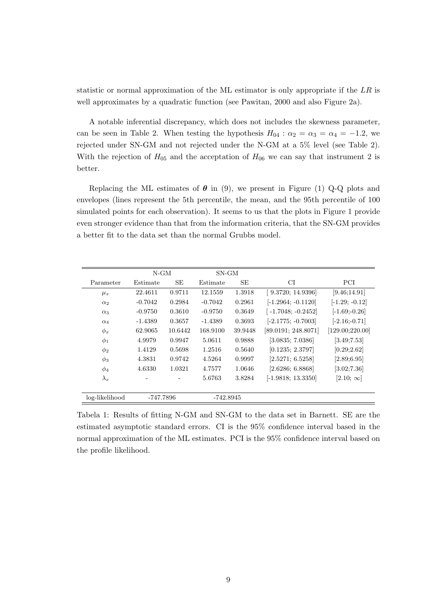statistic or normal approximation of the ML estimator is only appropriate if the LR is well approximates by a quadratic function (see Pawitan, 2000 and also Figure 2a).

A notable inferential discrepancy, which does not includes the skewness parameter, can be seen in Table 2. When testing the hypothesis  $H_{04}$  :  $\alpha_2 = \alpha_3 = \alpha_4 = -1.2$ , we rejected under SN-GM and not rejected under the N-GM at a 5% level (see Table 2). With the rejection of  $H_{05}$  and the acceptation of  $H_{06}$  we can say that instrument 2 is better.

Replacing the ML estimates of  $\theta$  in (9), we present in Figure (1) Q-Q plots and envelopes (lines represent the 5th percentile, the mean, and the 95th percentile of 100 simulated points for each observation). It seems to us that the plots in Figure 1 provide even stronger evidence than that from the information criteria, that the SN-GM provides a better fit to the data set than the normal Grubbs model.

|                | $N-GM$    |         | $SN-GM$   |         |                      |                  |
|----------------|-----------|---------|-----------|---------|----------------------|------------------|
| Parameter      | Estimate  | SE      | Estimate  | SЕ      | СI                   | PCI              |
| $\mu_x$        | 22.4611   | 0.9711  | 12.1559   | 1.3918  | [9.3720; 14.9396]    | [9.46; 14.91]    |
| $\alpha_2$     | $-0.7042$ | 0.2984  | $-0.7042$ | 0.2961  | $[-1.2964; -0.1120]$ | $[-1.29; -0.12]$ |
| $\alpha_3$     | $-0.9750$ | 0.3610  | $-0.9750$ | 0.3649  | $-1.7048; -0.2452]$  | $[-1.69; -0.26]$ |
| $\alpha_4$     | $-1.4389$ | 0.3657  | $-1.4389$ | 0.3693  | $[-2.1775; -0.7003]$ | $[-2.16; -0.71]$ |
| $\phi_x$       | 62.9065   | 10.6442 | 168.9100  | 39.9448 | [89.0191; 248.8071]  | [129.00;220.00]  |
| $\phi_1$       | 4.9979    | 0.9947  | 5.0611    | 0.9888  | [3.0835; 7.0386]     | [3.49; 7.53]     |
| $\phi_2$       | 1.4129    | 0.5698  | 1.2516    | 0.5640  | [0.1235; 2.3797]     | [0.29; 2.62]     |
| $\phi_3$       | 4.3831    | 0.9742  | 4.5264    | 0.9997  | [2.5271; 6.5258]     | [2.89; 6.95]     |
| $\phi_4$       | 4.6330    | 1.0321  | 4.7577    | 1.0646  | [2.6286; 6.8868]     | [3.02; 7.36]     |
| $\lambda_x$    |           |         | 5.6763    | 3.8284  | $[-1.9818; 13.3350]$ | $[2.10; \infty]$ |
| log-likelihood | -747.7896 |         | -742.8945 |         |                      |                  |

Tabela 1: Results of fitting N-GM and SN-GM to the data set in Barnett. SE are the estimated asymptotic standard errors. CI is the 95% confidence interval based in the normal approximation of the ML estimates. PCI is the 95% confidence interval based on the profile likelihood.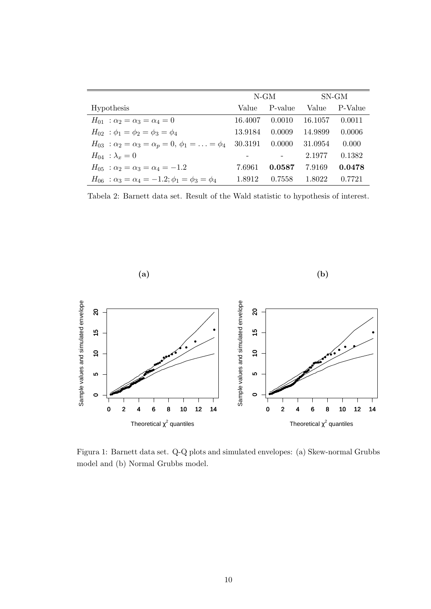|                                                                             | $N-GM$  |         | SN-GM   |         |
|-----------------------------------------------------------------------------|---------|---------|---------|---------|
| Hypothesis                                                                  | Value   | P-value | Value   | P-Value |
| $H_{01}$ : $\alpha_2 = \alpha_3 = \alpha_4 = 0$                             | 16.4007 | 0.0010  | 16.1057 | 0.0011  |
| $H_{02}$ : $\phi_1 = \phi_2 = \phi_3 = \phi_4$                              | 13.9184 | 0.0009  | 14.9899 | 0.0006  |
| $H_{03}$ : $\alpha_2 = \alpha_3 = \alpha_p = 0, \ \phi_1 = \ldots = \phi_4$ | 30.3191 | 0.0000  | 31.0954 | 0.000   |
| $H_{04}$ : $\lambda_x = 0$                                                  |         |         | 2.1977  | 0.1382  |
| $H_{05}$ : $\alpha_2 = \alpha_3 = \alpha_4 = -1.2$                          | 7.6961  | 0.0587  | 7.9169  | 0.0478  |
| $H_{06}$ : $\alpha_3 = \alpha_4 = -1.2$ ; $\phi_1 = \phi_3 = \phi_4$        | 1.8912  | 0.7558  | 1.8022  | 0.7721  |

Tabela 2: Barnett data set. Result of the Wald statistic to hypothesis of interest.



Figura 1: Barnett data set. Q-Q plots and simulated envelopes: (a) Skew-normal Grubbs model and (b) Normal Grubbs model.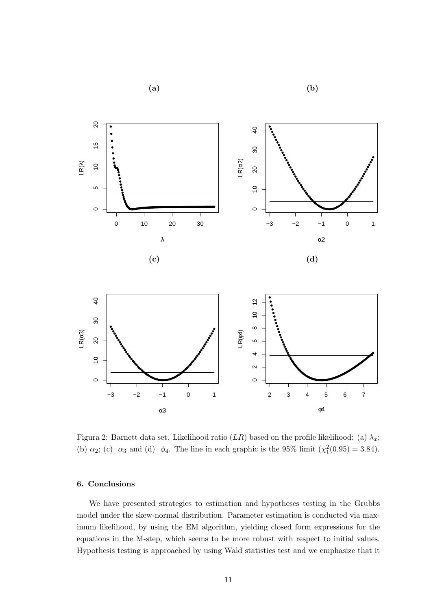





Figura 2: Barnett data set. Likelihood ratio  $(LR)$  based on the profile likelihood: (a)  $\lambda_x$ ; (b)  $\alpha_2$ ; (c)  $\alpha_3$  and (d)  $\phi_4$ . The line in each graphic is the 95% limit  $(\chi_1^2(0.95) = 3.84)$ .

## 6. Conclusions

We have presented strategies to estimation and hypotheses testing in the Grubbs model under the skew-normal distribution. Parameter estimation is conducted via maximum likelihood, by using the EM algorithm, yielding closed form expressions for the equations in the M-step, which seems to be more robust with respect to initial values. Hypothesis testing is approached by using Wald statistics test and we emphasize that it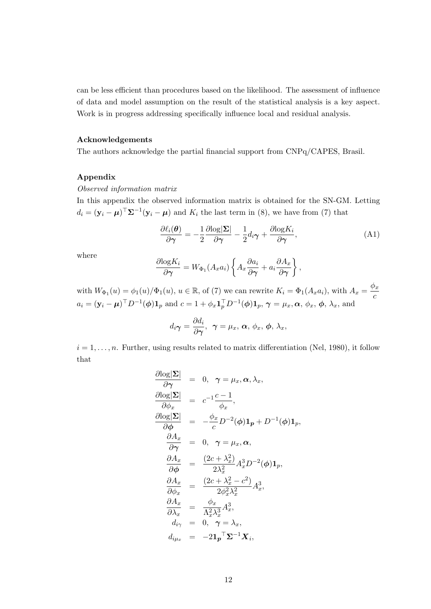can be less efficient than procedures based on the likelihood. The assessment of influence of data and model assumption on the result of the statistical analysis is a key aspect. Work is in progress addressing specifically influence local and residual analysis.

#### Acknowledgements

The authors acknowledge the partial financial support from CNPq/CAPES, Brasil.

### Appendix

Observed information matrix

In this appendix the observed information matrix is obtained for the SN-GM. Letting  $d_i = (\mathbf{y}_i - \boldsymbol{\mu})^\top \mathbf{\Sigma}^{-1} (\mathbf{y}_i - \boldsymbol{\mu})$  and  $K_i$  the last term in (8), we have from (7) that

$$
\frac{\partial \ell_i(\boldsymbol{\theta})}{\partial \boldsymbol{\gamma}} = -\frac{1}{2} \frac{\partial \log |\boldsymbol{\Sigma}|}{\partial \boldsymbol{\gamma}} - \frac{1}{2} d_i \boldsymbol{\gamma} + \frac{\partial \log K_i}{\partial \boldsymbol{\gamma}},\tag{A1}
$$

where

$$
\frac{\partial \log K_i}{\partial \gamma} = W_{\Phi_1}(A_x a_i) \left\{ A_x \frac{\partial a_i}{\partial \gamma} + a_i \frac{\partial A_x}{\partial \gamma} \right\},\,
$$

with  $W_{\Phi_1}(u) = \phi_1(u)/\Phi_1(u)$ ,  $u \in \mathbb{R}$ , of (7) we can rewrite  $K_i = \Phi_1(A_x a_i)$ , with  $A_x = \frac{\phi_x}{a_i}$ c  $a_i = (\mathbf{y}_i - \boldsymbol{\mu})^\top D^{-1}(\boldsymbol{\phi}) \mathbf{1}_p$  and  $c = 1 + \phi_x \mathbf{1}_p^\top D^{-1}(\boldsymbol{\phi}) \mathbf{1}_p$ ,  $\boldsymbol{\gamma} = \mu_x, \boldsymbol{\alpha}, \phi_x, \boldsymbol{\phi}, \lambda_x$ , and

$$
d_i\boldsymbol{\gamma}=\frac{\partial d_i}{\partial \boldsymbol{\gamma}},\ \ \boldsymbol{\gamma}=\mu_x,\ \boldsymbol{\alpha},\ \phi_x,\ \boldsymbol{\phi},\ \lambda_x,
$$

 $i = 1, \ldots, n$ . Further, using results related to matrix differentiation (Nel, 1980), it follow that

$$
\frac{\partial \log |\Sigma|}{\partial \gamma} = 0, \ \gamma = \mu_x, \alpha, \lambda_x,
$$
\n
$$
\frac{\partial \log |\Sigma|}{\partial \phi_x} = c^{-1} \frac{c-1}{\phi_x},
$$
\n
$$
\frac{\partial \log |\Sigma|}{\partial \phi} = -\frac{\phi_x}{c} D^{-2}(\phi) \mathbf{1}_p + D^{-1}(\phi) \mathbf{1}_p,
$$
\n
$$
\frac{\partial A_x}{\partial \gamma} = 0, \ \gamma = \mu_x, \alpha,
$$
\n
$$
\frac{\partial A_x}{\partial \phi} = \frac{(2c + \lambda_x^2)}{2\lambda_x^2} A_x^3 D^{-2}(\phi) \mathbf{1}_p,
$$
\n
$$
\frac{\partial A_x}{\partial \phi_x} = \frac{(2c + \lambda_x^2 - c^2)}{2\phi_x^2 \lambda_x^2} A_x^3,
$$
\n
$$
\frac{\partial A_x}{\partial \lambda_x} = \frac{\phi_x}{\Lambda_x^2 \lambda_x^3} A_x^3,
$$
\n
$$
d_{i\gamma} = 0, \ \gamma = \lambda_x,
$$
\n
$$
d_{i\mu_x} = -2\mathbf{1}_p^\top \Sigma^{-1} X_i,
$$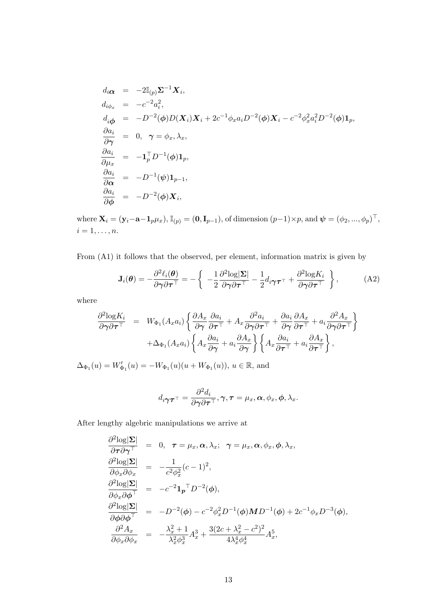$$
d_i \alpha = -2\mathbb{I}_{(p)} \Sigma^{-1} X_i,
$$
  
\n
$$
d_{i\phi_x} = -c^{-2} a_i^2,
$$
  
\n
$$
d_{i\phi} = -D^{-2}(\phi) D(X_i) X_i + 2c^{-1} \phi_x a_i D^{-2}(\phi) X_i - c^{-2} \phi_x^2 a_i^2 D^{-2}(\phi) \mathbf{1}_p,
$$
  
\n
$$
\frac{\partial a_i}{\partial \gamma} = 0, \ \gamma = \phi_x, \lambda_x,
$$
  
\n
$$
\frac{\partial a_i}{\partial \mu_x} = -\mathbf{1}_p^\top D^{-1}(\phi) \mathbf{1}_p,
$$
  
\n
$$
\frac{\partial a_i}{\partial \alpha} = -D^{-1}(\psi) \mathbf{1}_{p-1},
$$
  
\n
$$
\frac{\partial a_i}{\partial \phi} = -D^{-2}(\phi) X_i,
$$

where  $\mathbf{X}_i = (\mathbf{y}_i - \mathbf{a} - \mathbf{1}_p \mu_x)$ ,  $\mathbb{I}_{(p)} = (\mathbf{0}, \mathbf{I}_{p-1})$ , of dimension  $(p-1) \times p$ , and  $\boldsymbol{\psi} = (\phi_2, ..., \phi_p)^\top$ ,  $i = 1, \ldots, n$ .

From (A1) it follows that the observed, per element, information matrix is given by

$$
\mathbf{J}_{i}(\boldsymbol{\theta}) = -\frac{\partial^{2} \ell_{i}(\boldsymbol{\theta})}{\partial \gamma \partial \boldsymbol{\tau}^{\top}} = -\left\{ \begin{array}{c} -\frac{1}{2} \frac{\partial^{2} \log |\boldsymbol{\Sigma}|}{\partial \gamma \partial \boldsymbol{\tau}^{\top}} - \frac{1}{2} d_{i} \gamma \boldsymbol{\tau}^{\top} + \frac{\partial^{2} \log K_{i}}{\partial \gamma \partial \boldsymbol{\tau}^{\top}} \end{array} \right\},
$$
(A2)

where

$$
\frac{\partial^2 \text{log} K_i}{\partial \gamma \partial \tau^{\top}} = W_{\Phi_1}(A_x a_i) \left\{ \frac{\partial A_x}{\partial \gamma} \frac{\partial a_i}{\partial \tau^{\top}} + A_x \frac{\partial^2 a_i}{\partial \gamma \partial \tau^{\top}} + \frac{\partial a_i}{\partial \gamma} \frac{\partial A_x}{\partial \tau^{\top}} + a_i \frac{\partial^2 A_x}{\partial \gamma \partial \tau^{\top}} \right\} \n+ \Delta_{\Phi_1}(A_x a_i) \left\{ A_x \frac{\partial a_i}{\partial \gamma} + a_i \frac{\partial A_x}{\partial \gamma} \right\} \left\{ A_x \frac{\partial a_i}{\partial \tau^{\top}} + a_i \frac{\partial A_x}{\partial \tau^{\top}} \right\},
$$

 $\Delta_{\Phi_1}(u) = W'_{\Phi_1}(u) = -W_{\Phi_1}(u)(u + W_{\Phi_1}(u)), u \in \mathbb{R}$ , and

$$
d_{i\boldsymbol{\gamma}}\boldsymbol{\tau}^{\top} = \frac{\partial^2 d_i}{\partial \boldsymbol{\gamma} \partial \boldsymbol{\tau}^{\top}}, \boldsymbol{\gamma}, \boldsymbol{\tau} = \mu_x, \boldsymbol{\alpha}, \phi_x, \phi, \lambda_x.
$$

After lengthy algebric manipulations we arrive at

$$
\frac{\partial^2 \log |\Sigma|}{\partial \tau \partial \gamma^{\top}} = 0, \quad \tau = \mu_x, \alpha, \lambda_x; \quad \gamma = \mu_x, \alpha, \phi_x, \phi, \lambda_x,
$$
\n
$$
\frac{\partial^2 \log |\Sigma|}{\partial \phi_x \partial \phi_x} = -\frac{1}{c^2 \phi_x^2} (c - 1)^2,
$$
\n
$$
\frac{\partial^2 \log |\Sigma|}{\partial \phi_x \partial \phi^{\top}} = -c^{-2} \mathbf{1}_p{}^{\top} D^{-2}(\phi),
$$
\n
$$
\frac{\partial^2 \log |\Sigma|}{\partial \phi \partial \phi^{\top}} = -D^{-2}(\phi) - c^{-2} \phi_x^2 D^{-1}(\phi) M D^{-1}(\phi) + 2c^{-1} \phi_x D^{-3}(\phi),
$$
\n
$$
\frac{\partial^2 A_x}{\partial \phi_x \partial \phi_x} = -\frac{\lambda_x^2 + 1}{\lambda_x^2 \phi_x^3} A_x^3 + \frac{3(2c + \lambda_x^2 - c^2)^2}{4\lambda_x^4 \phi_x^4} A_x^5,
$$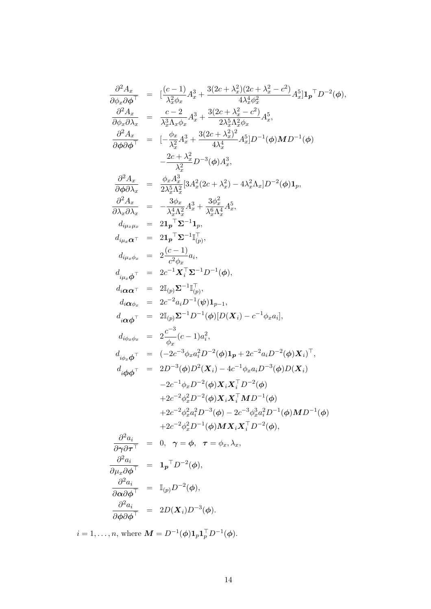$$
\frac{\partial^2 A_x}{\partial \phi_x \partial \phi^{\top}} = [\frac{(c-1)}{\lambda_x^2 \phi_x} A_x^3 + \frac{3(2c + \lambda_x^2)(2c + \lambda_x^2 - c^2)}{4\lambda_x^4 \phi_x^2} A_x^5] \mathbf{1}_p \top D^{-2}(\phi), \n\frac{\partial^2 A_x}{\partial \phi_x \partial \lambda_x} = \frac{c - 2}{\lambda_x^3 \Lambda_x \phi_x} A_x^3 + \frac{3(2c + \lambda_x^2 - c^2)}{2\lambda_x^5 \Lambda_x^2 \phi_x} A_x^5, \n\frac{\partial^2 A_x}{\partial \phi \partial \phi^{\top}} = [\frac{\phi_x}{\lambda_x^2} A_x^3 + \frac{3(2c + \lambda_x^2)}{4\lambda_x^4}] A_x^5] D^{-1}(\phi) \mathbf{M} D^{-1}(\phi) \n- \frac{2c + \lambda_x^2}{\lambda_x^2} D^{-3}(\phi) A_x^3, \n\frac{\partial^2 A_x}{\partial \phi \partial \lambda_x} = \frac{\phi_x A_x^3}{2\lambda_x^5 \Lambda_x^2} [3A_x^2 (2c + \lambda_x^2) - 4\lambda_x^2 \Lambda_x] D^{-2}(\phi) \mathbf{1}_p, \n\frac{\partial^2 A_x}{\partial \lambda_x \partial \lambda_x} = - \frac{3\phi_x}{\lambda_x^4 \Lambda_x^2} A_x^3 + \frac{3\phi_x^2}{\Lambda_x^6 \Lambda_x^4} A_x^5, \nd_{i\mu_x \mu_x} = 2\mathbf{1}_p \top \Sigma^{-1} \mathbf{1}_p, \nd_{i\mu_x \phi_x} = 2 \frac{(c - 1)}{c^2 \phi_x} a_i, \nd_{i\mu_x \phi_x} = 2 \frac{c - 1}{c^2 \phi_x} \mathbf{1}_i, \nd_{i\alpha \phi_x} = 2c^{-2} a_i D^{-1}(\phi), \nd_{i\alpha \phi_x} = 2c^{-2} a_i D^{-1}(\phi) [D(\mathbf{X}_i) - c^{-1} \phi_x a_i], \nd_{i\alpha \phi_x} = 2 \frac{c^{-3}}{2(c - 1)} (a_i)^2, \nd_{i\phi_x \phi_x} = 2 \frac{c^{-3}}{2(c - 1)} (a_i^2, -a_i D^{-2}(\phi) \mathbf{X}_
$$

 $i = 1, \ldots, n$ , where  $\mathbf{M} = D^{-1}(\boldsymbol{\phi}) \mathbf{1}_p \mathbf{1}_p^\top D^{-1}(\boldsymbol{\phi})$ .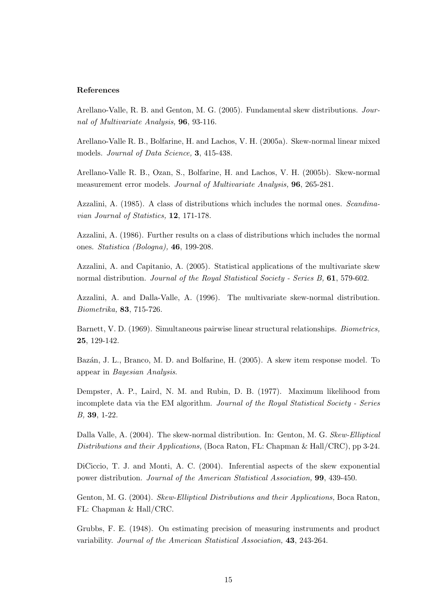#### References

Arellano-Valle, R. B. and Genton, M. G. (2005). Fundamental skew distributions. Journal of Multivariate Analysis, 96, 93-116.

Arellano-Valle R. B., Bolfarine, H. and Lachos, V. H. (2005a). Skew-normal linear mixed models. Journal of Data Science, 3, 415-438.

Arellano-Valle R. B., Ozan, S., Bolfarine, H. and Lachos, V. H. (2005b). Skew-normal measurement error models. Journal of Multivariate Analysis, 96, 265-281.

Azzalini, A. (1985). A class of distributions which includes the normal ones. Scandinavian Journal of Statistics, 12, 171-178.

Azzalini, A. (1986). Further results on a class of distributions which includes the normal ones. Statistica (Bologna), 46, 199-208.

Azzalini, A. and Capitanio, A. (2005). Statistical applications of the multivariate skew normal distribution. Journal of the Royal Statistical Society - Series B, 61, 579-602.

Azzalini, A. and Dalla-Valle, A. (1996). The multivariate skew-normal distribution. Biometrika, 83, 715-726.

Barnett, V. D. (1969). Simultaneous pairwise linear structural relationships. Biometrics, 25, 129-142.

Bazán, J. L., Branco, M. D. and Bolfarine, H. (2005). A skew item response model. To appear in Bayesian Analysis.

Dempster, A. P., Laird, N. M. and Rubin, D. B. (1977). Maximum likelihood from incomplete data via the EM algorithm. Journal of the Royal Statistical Society - Series B, 39, 1-22.

Dalla Valle, A. (2004). The skew-normal distribution. In: Genton, M. G. Skew-Elliptical Distributions and their Applications, (Boca Raton, FL: Chapman & Hall/CRC), pp 3-24.

DiCiccio, T. J. and Monti, A. C. (2004). Inferential aspects of the skew exponential power distribution. Journal of the American Statistical Association, 99, 439-450.

Genton, M. G. (2004). Skew-Elliptical Distributions and their Applications, Boca Raton, FL: Chapman & Hall/CRC.

Grubbs, F. E. (1948). On estimating precision of measuring instruments and product variability. Journal of the American Statistical Association, 43, 243-264.